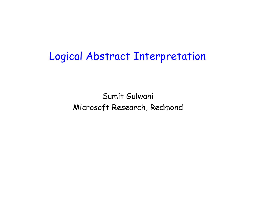# Logical Abstract Interpretation

Sumit Gulwani Microsoft Research, Redmond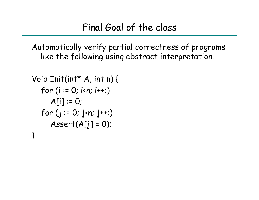Automatically verify partial correctness of programs like the following using abstract interpretation.

```
Void Init(int* A, int
n) {
  for (i := 0; i < n; i++)A[i] := 0;for (j := 0; j \times n; j++)Assert(A[i] = 0);
}
```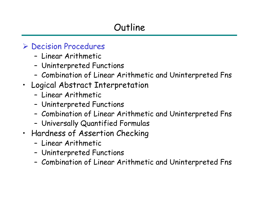#### ¾ Decision Procedures

- Linear Arithmetic
- –Uninterpreted Functions
- –Combination of Linear Arithmetic and Uninterpreted Fns
- Logical Abstract Interpretation
	- Linear Arithmetic
	- –Uninterpreted Functions
	- –Combination of Linear Arithmetic and Uninterpreted Fns
	- –Universally Quantified Formulas
- Hardness of Assertion Checking
	- Linear Arithmetic
	- –Uninterpreted Functions
	- –Combination of Linear Arithmetic and Uninterpreted Fns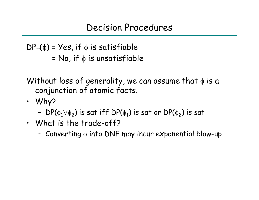Decision Procedures

 $\mathsf{DP}_{\mathsf{T}}(\phi)$  = Yes, if  $\phi$  is satisfiable  $\overline{\phantom{a}}$  = No, if  $\phi$  is unsatisfiable

Without loss of generality, we can assume that  $\phi$  is a conjunction of atomic facts.

- W h y ?
	- DP( $\phi_1 \lor \phi_2$ ) is sat iff DP( $\phi_1$ ) is sat or DP( $\phi_2$ ) is sat
- •What is the trade-o ff?
	- $\,$  Converting  $\upphi$  into DNF may incur exponential blow-up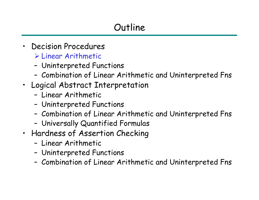- • Decision Procedures ¾ Linear Arithmetic
	- –Uninterpreted Functions
	- –Combination of Linear Arithmetic and Uninterpreted Fns
- Logical Abstract Interpretation
	- Linear Arithmetic
	- –Uninterpreted Functions
	- –Combination of Linear Arithmetic and Uninterpreted Fns
	- –Universally Quantified Formulas
- Hardness of Assertion Checking
	- Linear Arithmetic
	- –Uninterpreted Functions
	- –Combination of Linear Arithmetic and Uninterpreted Fns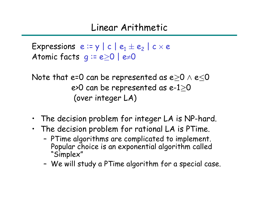#### Linear Arithmetic

Expressions  $\bm{e} \vcentcolon = \bm{\mathsf{y}} \mid \bm{c} \mid \bm{e}_1 \pm \bm{e}_2 \mid \bm{c} \times \bm{e}$ Atomic facts  $\bm{g} \coloneqq \bm{e}{\ge} \bm{0}\mid \bm{e}{\neq}\bm{0}$ 

Note that e=0 can be represented as e $\geq$ 0  $\land$  e $\leq$ 0 e>0 can be represented as e-1 $\geq$ 0  $\,$ (over integer LA)

- The decision problem for integer LA is NP-hard.
- The decision p roblem for rational LA is PTime.
	- PTime algorithms are complicated to implement. Popular choice is an exponential algorithm called "Simplex"
	- We will study a PTime algorithm for a special case.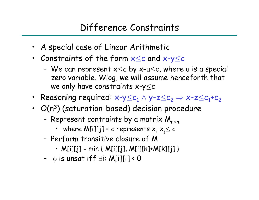- A special case of Linear Arithmetic
- Constraints of the form  ${\color{black} \mathsf{x}\leq \mathsf{c}}$  and  ${\color{black} \mathsf{x}\text{-}\mathsf{y}\text{-}\mathsf{c}}$ 
	- We can represent  ${\mathsf x}\mathop{\leq}{\mathsf c}$  by  ${\mathsf x}{\text{-}}{\mathsf u}\mathop{\leq}{\mathsf c}$ , where  ${\mathsf u}$  is a special zero variable. Wlog, we will assume henceforth that we only have constraints x-y $\leq$ c
- Reasoning required: x-y $\leq$ c $_1$  ^ y-z $\leq$ c $_2$   $\Rightarrow$  x-z $\leq$ c $_1$ +c $_2$
- $\cdot$   $\,$   $O(n^3)$  (saturation-based) decision procedure
	- Represent contraints by a matrix  $\boldsymbol{\mathsf{M}}_{\mathsf{n}\times\mathsf{n}}$ 
		- where M[i][j] = c represents  $\mathsf{x}_{\mathsf{i}}\text{-}\mathsf{x}_{\mathsf{j}}\text{\leq c}$
	- –Perform transitive closure of M
		- M[i][j] = min { M[i][j], M[i][k]+M[k][j] }
	- φ is unsat iff ∃i: M[i][i] < 0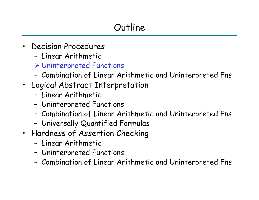- $\bullet$  Decision Procedures
	- Linear Arithmetic
	- ¾ Uninterpreted Functions
	- –Combination of Linear Arithmetic and Uninterpreted Fns
- Logical Abstract Interpretation
	- Linear Arithmetic
	- –Uninterpreted Functions
	- –Combination of Linear Arithmetic and Uninterpreted Fns
	- –Universally Quantified Formulas
- Hardness of Assertion Checking
	- Linear Arithmetic
	- –Uninterpreted Functions
	- –Combination of Linear Arithmetic and Uninterpreted Fns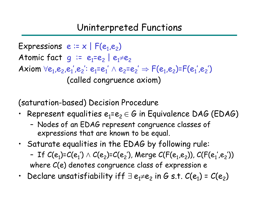#### Uninterpreted Functions

Expressions  $e := x \mid F(e_1, e_2)$ Atomic fact  $\bm{g}$  := e<sub>1</sub>=e<sub>2</sub> | e<sub>1</sub>≠e<sub>2</sub> Axiom  $\forall e_1,e_2,e_1',e_2': e_1= e_1' \wedge e_2= e_2' \Rightarrow F(e_1,e_2)=F(e_1',e_2')$ (called congruence axiom)

(saturation-based) Decision Procedure

- Represent equalities  $\boldsymbol{e}_1$ = $\boldsymbol{e}_2\in\boldsymbol{G}$  in Equivalence DAG (EDAG)
	- – Nodes of an EDAG represent congruence classes of expressions that are known to be equal.
- Saturate equalities in the EDAG by following rule:
	- –If  ${\cal C}(e^{}_1)$ = ${\cal C}(e^{}_1')\wedge {\cal C}(e^{}_2)$ = ${\cal C}(e^{}_2')$ , Merge  ${\cal C}({\sf F}(e^{}_1,e^{}_2))$ ,  ${\cal C}({\sf F}(e^+_1,e^{}_2'))$ where C(e) denotes congruence class of expression e
- •Declare unsatisfiability iff  $\exists e_1 \neq e_2$  in G s.t.  $C(e_1) = C(e_2)$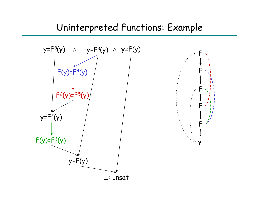#### Uninterpreted Functions: Example

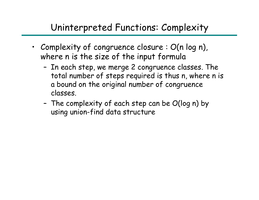### Uninterpreted Functions: Complexity

- Complexity of congruence closure : O(n log n), where n is the size of the input formula
	- – In each step, we merge 2 congruence classes. The total number of steps required is thus n, where n is a bound on the original number of congruence classes.
	- –- The complexity of each step can be  $O(\log n)$  by using union-find data structure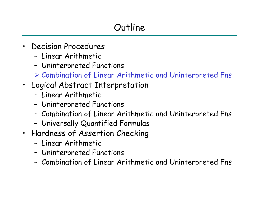- • Decision Procedures
	- Linear Arithmetic
	- –Uninterpreted Functions
	- ¾ Combination of Linear Arithmetic and Uninterpreted Fns
- Logical Abstract Interpretation
	- Linear Arithmetic
	- –Uninterpreted Functions
	- –Combination of Linear Arithmetic and Uninterpreted Fns
	- –Universally Quantified Formulas
- Hardness of Assertion Checking
	- Linear Arithmetic
	- –Uninterpreted Functions
	- –Combination of Linear Arithmetic and Uninterpreted Fns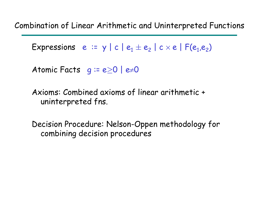Combination of Linear Arithmetic and Uninterpreted Functions

 $\mathsf{Expressions }$  e := y | c |  $\mathsf{e}_1 \pm \mathsf{e}_2$  | c  $\times$  e |  $\mathsf{F}(\mathsf{e}_1,\mathsf{e}_2)$ 

Atomic Facts  $\,$  g := e $\geq$ 0 | e $\neq$ 0

Axioms: Combined axioms of linear arithmetic + uninterpreted fns.

Decision Procedure: Nelson-Oppen methodology for combining decision procedures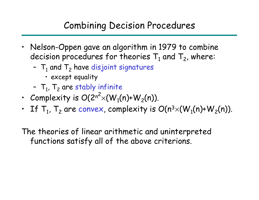### Combining Decision Procedures

- Nelson-Oppen gave an algorithm in 1979 to combi ne decision procedures for theories  ${\sf T}_1$  and  ${\sf T}_2$ , where:
	- $\, {\mathsf T}_1$  and  ${\mathsf T}_2$  have disjoint signatures
		- except equality
	- $\, {\mathsf T}_1^{}$ ,  ${\mathsf T}_2^{}$  are stably infinite
- Complexity is  $O(2^{n^2} \times (W_1(n)+W_2(n))$ .
- $\,$  If  $\, {\mathsf T}_1, \, {\mathsf T}_2$  are convex, complexity is  $O(n^3)$  $\times$ (W $_1$ (n)+W $_2$ (n)).

The theories of linear arithmetic and uninterpreted functions satisfy all of the above criterions.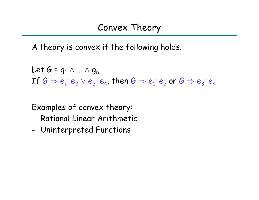A theory is convex if the following holds.

Let 
$$
G = g_1 \wedge ... \wedge g_n
$$
  
If  $G \Rightarrow e_1 = e_2 \vee e_3 = e_4$ , then  $G \Rightarrow e_1 = e_2$  or  $G \Rightarrow e_3 = e_4$ 

Examples of convex theory:

- Rational Linear Arithmetic
- -Uninterpreted Functions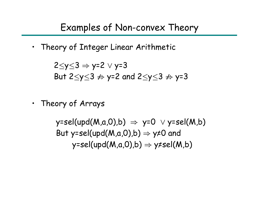### Examples of Non-convex Theory

• Theory of Integer Linear Arithmetic

$$
2\leq y \leq 3 \Rightarrow y=2 \lor y=3
$$
  
But  $2\leq y \leq 3 \not\Rightarrow y=2$  and  $2\leq y \leq 3 \not\Rightarrow y=3$ 

• Theory of Arrays

y=sel(upd(M,a,0),b)  $\Rightarrow$  y=0  $\lor$  y=sel(M,b) But y=sel(upd(M,a,0),b)  $\Rightarrow$  y≠0 and y=sel(upd(M,a,0),b)  $\Rightarrow$  y≠sel(M,b)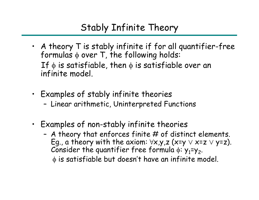## Stably Infinite Theory

- A theory T is stably infinite if for all quantifier-free formulas φ over T, the following holds: If  $\phi$  is satisfiable, then  $\phi$  is satisfiable over an infinite model.
- Examples of stably infinite theories
	- Linear arithmetic, Uninterpreted Functions
- Examples of non-stably infinite theories
	- A theory that enforces finite # of distinct elements. Eg., a theory with the axiom:  $\forall x.$ y,z (x=y  $\lor$  x=z  $\lor$  y=z). Consider the quantifier free formula  $\phi$ : y<sub>1</sub>=y<sub>2</sub>. φ is satisfiable but doesn't have an infinite model.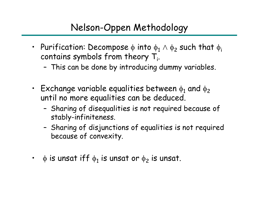## Nelson-Oppen Methodology

- Purification: Decompose  $\phi$  into  $\phi_1 \wedge \phi_2$  such that  $\phi_i$ contains symbols from theory  $T_i$ .
	- –This can be done by introducing dummy variables.
- Exchange variable equalities between  $\phi_1$  and  $\phi_2$ until no more equalities can be deduced.
	- –- Sharing of disequalities is not required because of stably-infiniteness.
	- –- Sharing of disjunctions of equalities is not required because of convexity.
- • $\cdot$   $\;$   $\upphi$  is unsat iff  $\upphi_1$  is unsat or  $\upphi_2$  is unsat.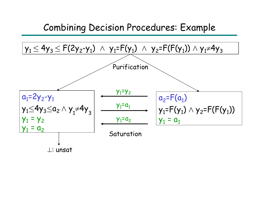#### Combining Decision Procedures: Example

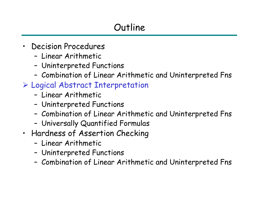- • Decision Procedures
	- Linear Arithmetic
	- –Uninterpreted Functions
	- –Combination of Linear Arithmetic and Uninterpreted Fns
- ¾ Logical Abstract Interpretation
	- Linear Arithmetic
	- –Uninterpreted Functions
	- –Combination of Linear Arithmetic and Uninterpreted Fns
	- –Universally Quantified Formulas
- Hardness of Assertion Checking
	- Linear Arithmetic
	- –Uninterpreted Functions
	- –Combination of Linear Arithmetic and Uninterpreted Fns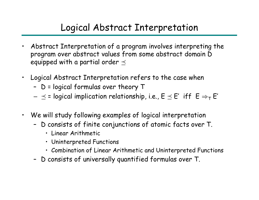## Logical Abstract Interpretation

- $\bullet$  Abstract Interpretation of a program involves interpreting the program over abstract values from some abstract domain D equipped with a partial order  $\preceq$
- • Logical Abstract Interpretation refers to the case when
	- D = logical formulas over theory T
	- $\preceq$  = logical implication relationship, i.e.,  $\mathsf{E} \preceq \mathsf{E}'$  iff  $\mathsf{E} \Rightarrow_\tau \mathsf{E}'$
- • We will study following examples of logical interpretation
	- D consists of finite conjunctions of atomic facts over T.
		- Linear Arithmetic
		- Uninterpreted Functions
		- Combination of Linear Arithmetic and Uninterpreted Functions
	- D consists of universally quantified formulas over T.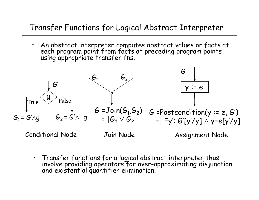#### Transfer Functions for Logical Abstract Interpreter

•An abstract interpreter computes abstract values or facts at each program point from facts at preceding program points using appropriate transfer fns.



• Transfer functions for a logical abstract interpreter thus involve providing operators for over-approximating disjunction<br>and existential quantifier elimination.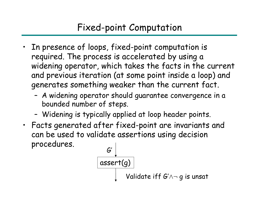### Fixed-point Computation

- In presence of loops, fixed-point computation is required. The process is accelerated by using a widening operator, which takes the facts in the current and previous iteration (at some point inside a loop) and generates something weaker than the current fact.
	- A widening operator should guarantee convergence in a bounded number of steps.
	- Widening is typically applied at loop header points.
- Facts generated after fixed-point are invariants and can be used to validate assertions using decision procedures.

$$
\begin{array}{c}\nG' \\
\hline\n\text{assert}(g) \\
\downarrow\n\end{array}
$$
\nValidate iff  $G' \wedge \neg g$  is unsat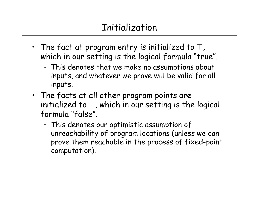# Initialization

- The fact at program entry is initialized to  $\top$ , which in our setting is the logical formula "true".
	- – This denotes that we make no assumptions about inputs, and whatever we prove will be valid for all inputs.
- The facts at all other program points are initialized to  $\perp$ , which in our setting is the logical formula "false".
	- – This denotes our optimistic assumption of unreachability of program locations (unless we can prove them reachable in the process of fixed-point computation).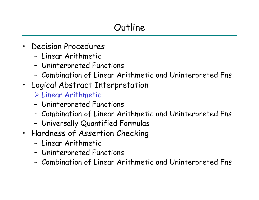- $\bullet$  Decision Procedures
	- Linear Arithmetic
	- –Uninterpreted Functions
	- –Combination of Linear Arithmetic and Uninterpreted Fns
- Logical Abstract Interpretation
	- ¾ Linear Arithmetic
	- –Uninterpreted Functions
	- –Combination of Linear Arithmetic and Uninterpreted Fns
	- –Universally Quantified Formulas
- Hardness of Assertion Checking
	- Linear Arithmetic
	- –Uninterpreted Functions
	- –Combination of Linear Arithmetic and Uninterpreted Fns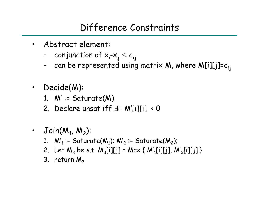### Difference Constraints

- Abstract element:
	- $\,$  conjunction of  ${\sf x}_{\mathsf{i}}\text{-}{\sf x}_{\mathsf{j}}\leq{\sf c}_{\mathsf{i}\mathsf{j}}$
	- can be represented using matrix M, where M[i][j]=c<sub>ij</sub>
- Decide(M):
	- 1.  $M' \coloneq$  Saturate(M)
	- 2. Declare unsat iff ∃i: M'[i][i] < 0
- • $\mathsf{Join}(\mathsf{M}_1,\,\mathsf{M}_2)$ :
	- 1.  ${\sf M'}_1$  := Saturate(M $_1$ ); M' $_2$  := Saturate(M $_2$ );
	- 2.Let M<sub>3</sub> be s.t. M<sub>3</sub>[i][j] = Max { M'<sub>1</sub>[i][j], M'<sub>2</sub>[i][j] }
	- 3.  $\,$ return $\,$  M $_{3}$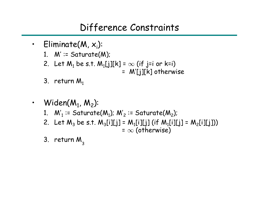#### Difference Constraints

- Eliminate(M,  $x_i$ ):
	- 1.  $M' \coloneqq Sature(M);$
	- 2. Let  $\mathsf{M}_1$  be s.t.  $\mathsf{M}_1\text{{\small{[j]}}}[k]=\infty$  (if j=i or k=i)  $\overline{\phantom{a}}$ 
		- = M'[j][k] otherwise

- 3. return  $M_1$
- $\cdot$  Widen(M $_1$ , M $_2$ ):
	- 1.  ${\sf M'}_1$  := Saturate(M $_1$ ); M' $_2$  := Saturate(M $_2$ );
	- 2. Let  $\mathsf{M}_3$  be s.t.  $\mathsf{M}_3$ [i][j] =  $\mathsf{M}_1$ [i][j] (if  $\mathsf{M}_1$ [i][j]] =  $\mathsf{M}_2$ [i][j])) =  $\infty$  (otherwise)
	- 3.  $\,$ return $\,$  M  $_{_3}$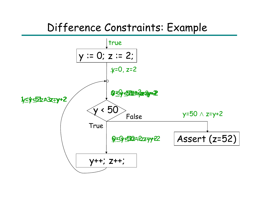# Difference Constraints: Example

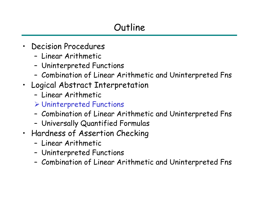- • Decision Procedures
	- Linear Arithmetic
	- –Uninterpreted Functions
	- –Combination of Linear Arithmetic and Uninterpreted Fns
- Logical Abstract Interpretation
	- Linear Arithmetic
	- ¾ Uninterpreted Functions
	- –Combination of Linear Arithmetic and Uninterpreted Fns
	- –Universally Quantified Formulas
- Hardness of Assertion Checking
	- Linear Arithmetic
	- –Uninterpreted Functions
	- –Combination of Linear Arithmetic and Uninterpreted Fns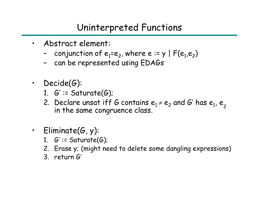### Uninterpreted Functions

- Abstract element:
	- –- conjunction of  $e_1$ = $e_2$ , where e := y | F( $e_1$ , $e_2$ )
	- –can be represented using EDAGs
- Decide(G):
	- 1.  $G' \coloneqq$  Saturate(G);
	- 2. Declare unsat iff G contains  $\bm{e}_1\neq\bm{e}_2$  and G' has  $\bm{e}_1$ ,  $\bm{e}_2$ in the same congruence class.
- Eliminate(G, y):
	- 1.  $G' \coloneqq$  Saturate(G);
	- 2. Erase y; (might need to delete some dangling expressions)
	- 3. return G'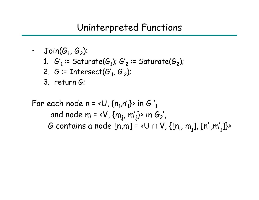#### Uninterpreted Functions

 $\boldsymbol{\cdot}$  Join( $\boldsymbol{\mathcal{G}}_1$ ,  $\boldsymbol{\mathcal{G}}_2$ ): 1.  $\,G_{\,1}^{\prime}$  := Saturate( $\varphi_{1}$ );  $G_{\,2}^{\prime}$  := Saturate( $\varphi_{2}$ ); 2.  $G$  := Intersect( $G'_1$ ,  $G'_2$ ); 3. return G; For each node  $n = \langle U, \{n_i, n'\}\rangle$  in G'<sub>1</sub> and node m = <V,  $\{m_i, m'_i\}$ > in  $G_2'$ , G contains a node  $[n,m] = \langle U \cap V, \{[n_i, m_j], [n', m'_j]\}\rangle$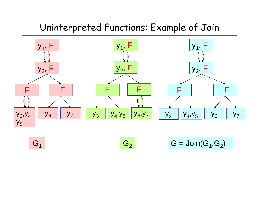### Uninterpreted Functions: Example of Join



 $G_2$   $G = \text{Join}(G_1, G_2)$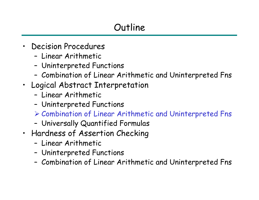- • Decision Procedures
	- Linear Arithmetic
	- –Uninterpreted Functions
	- –Combination of Linear Arithmetic and Uninterpreted Fns
- Logical Abstract Interpretation
	- Linear Arithmetic
	- –Uninterpreted Functions
	- ¾ Combination of Linear Arithmetic and Uninterpreted Fns
	- –Universally Quantified Formulas
- Hardness of Assertion Checking
	- Linear Arithmetic
	- –Uninterpreted Functions
	- –Combination of Linear Arithmetic and Uninterpreted Fns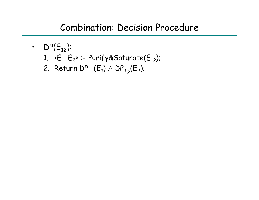#### Combination: Decision Procedure

- DP $(\mathsf{E}_{12})$ :
	- 1. <E<sub>1</sub>, E<sub>2</sub>> := Purify&Saturate(E<sub>12</sub>);
	- 2. Return D ${\sf P}_{\sf T_1}({\sf E}_1)\wedge{\sf D}{\sf P}_{\sf T_2}({\sf E}_2)$ ;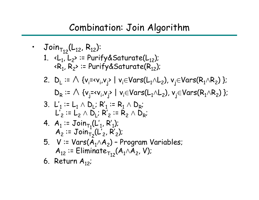# Combination: Join Algorithm

\n- \n
$$
Join_{T_{12}}(L_{12}, R_{12})
$$
:\n
	\n- 1.  $\langle L_1, L_2 \rangle$  := Purify&Saturate(L\_{12})
	\n- 2.  $D_L := \bigwedge \{v_i = v_i, v_j \} \mid v_i \in Vars(L_1 \land L_2), v_j \in Vars(R_1 \land R_2) \}$ :\n  $D_R := \bigwedge \{v_j = v_i, v_j \} \mid v_i \in Vars(L_1 \land L_2), v_j \in Vars(R_1 \land R_2) \}$ :\n  $D_R := \bigwedge \{v_j = v_i, v_j \} \mid v_i \in Vars(L_1 \land L_2), v_j \in Vars(R_1 \land R_2) \}$ :\n  $L_1' := L_1 \land D_L; R_1' := R_1 \land D_R;$ \n  $L_2' := L_2 \land D_L; R_2' := R_2 \land D_R;$ \n
	\n- 4.  $A_1 := \text{Join}_{T_1}(L_1', R_1');$ \n $A_2 := \text{Join}_{T_2}(L_2', R_2');$ \n
	\n- 5.  $V := \text{Vars}(A_1 \land A_2) - \text{Program Variables};$ \n $A_{12} := \text{Eliminate}_{T_{12}}(A_1 \land A_2, V);$ \n
	\n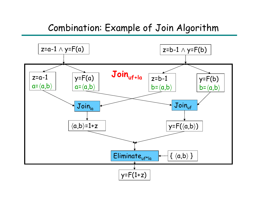#### Combination: Example of Join Algorithm

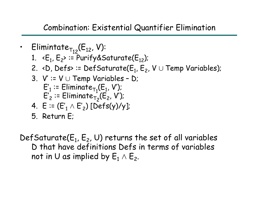#### Combination: Existential Quantifier Elimination

- Elimintate  $_{\mathsf{T}_{12}}(\mathsf{E}_{12},\,\mathsf{V})$ :
	- 1. <E<sub>1</sub>, E<sub>2</sub>> := Purify&Saturate(E<sub>12</sub>);
	- 2. <D, Defs> := DefSaturate( $\mathsf{E}_1$ ,  $\mathsf{E}_2$ , V  $\cup$  Temp Variables);
	- 3. V' := V ∪ Temp Variables D;  $E'_1$  :=  $\textsf{Eliminate}_{\mathsf{T}_1}(\mathsf{E}_1, \mathsf{V}');$  $\mathsf{E'}_2 \coloneqq \mathsf{Eliminate}_{\mathsf{T}_2}(\mathsf{E}_2, \mathsf{V}').$
	- 4.  $\, \mathsf{E} \coloneqq ( \mathsf{E'}_1 \wedge \mathsf{E'}_2 ) \,$  [Defs(y)/y];
	- 5. Return E;

DefSaturate( $\mathsf{E}_1$ ,  $\mathsf{E}_2$ , U) returns the set of all variables D that have definitions Defs in terms of variables not in U as implied by  $\mathsf{E}_1 \wedge \mathsf{E}_2.$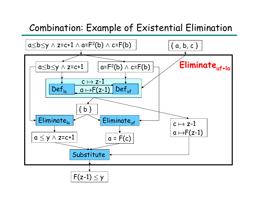### Combination: Example of Existential Elimination

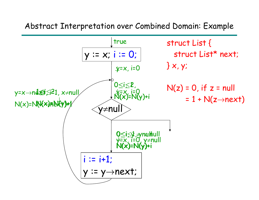Abstract Interpretation over Combined Domain: Example

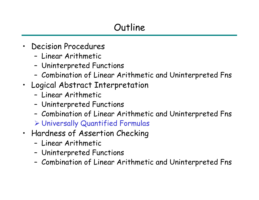- • Decision Procedures
	- Linear Arithmetic
	- –Uninterpreted Functions
	- –Combination of Linear Arithmetic and Uninterpreted Fns
- Logical Abstract Interpretation
	- Linear Arithmetic
	- –Uninterpreted Functions
	- –Combination of Linear Arithmetic and Uninterpreted Fns

¾ Universally Quantified Formulas

- Hardness of Assertion Checking
	- Linear Arithmetic
	- –Uninterpreted Functions
	- –Combination of Linear Arithmetic and Uninterpreted Fns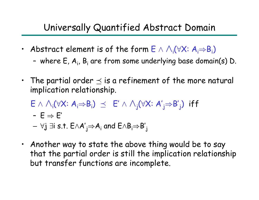### Universally Quantified Abstract Domain

- Abstract element is of the form  $\mathsf{E} \wedge \bigwedge_{\mathsf{i}} (\forall \mathsf{X} \colon \mathsf{A}_\mathsf{i} {\Rightarrow} \mathsf{B}_\mathsf{i})$ 
	- where E, A<sub>i</sub>, B<sub>i</sub> are from some underlying base domain(s) D.
- The partial order  $\preceq$  is a refinement of the more natural implication relationship.
	- $\mathsf{E} \, \land \, \bigwedge_\mathsf{i} (\forall \mathsf{X}\colon \mathsf{A}_\mathsf{i} {\Rightarrow} \mathsf{B}_\mathsf{i}) \ \preceq \ \ \mathsf{E}' \, \land \, \bigwedge_\mathsf{j} (\forall \mathsf{X}\colon \mathsf{A}', \mathsf{A} \land \mathsf{A}, \mathsf{A} \land \mathsf{A} \land \mathsf{A} \land \mathsf{A} \land \mathsf{A} \land \mathsf{A} \land \mathsf{A} \land \mathsf{A} \land \mathsf{A} \land \mathsf{A} \land \mathsf{A} \land \mathsf{A} \land \mathsf{A} \land \mathsf{$ j <sup>⇒</sup>B' j ) iff

$$
\text{- } E \Rightarrow E'
$$

- ∀j ∃i s.t. E ∧A'  $_{\rm j}$  $\Rightarrow$  A $_{\rm i}$  and E $\wedge$ B $_{\rm i}$  $\Rightarrow$ B' j
- Another way to state the above thing would be to say that the partial order is still the implication relationship but transfer functions are incomplete.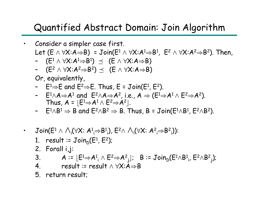### Quantified Abstract Domain: Join Algorithm

- • Consider a simpler case first. Let (E  $\land$   $\forall$ X:A $\Rightarrow$ B) = Join(E $^1 \land$   $\forall$ X:A $^1 \Rightarrow$ B $^1$ , E $^2$   $\land$   $\forall$ X:A $^2 \Rightarrow$ B $^2$ ). Then,
	- – $(\mathsf{E}^{\mathsf{1}}\wedge \forall \mathsf{X}{:}\mathsf{A}^{\mathsf{1}}{\Rightarrow}\mathsf{B}^{\mathsf{1}}) \; \preceq \; \; (\mathsf{E} \wedge \forall \mathsf{X}{:}\mathsf{A}{\Rightarrow}\mathsf{B})$
	- –(E<sup>2</sup> ∧ ∀X:A<sup>2</sup>⇒B<sup>2</sup> )⊴ (E ∧ ∀X:A⇒B)
	- Or, equivalently,
	- −  $E^1\Rightarrow E$  and  $E^2$  $\Rightarrow$ E. Thus, E = Join(E1, E2).
	- −  $E^1 \wedge A \Rightarrow A^1$  and  $E^2 \wedge A \Rightarrow A^2$ , i.e.,  $A \Rightarrow (E^1 \Rightarrow A^1 \wedge E^2 \Rightarrow A^2)$ . Thus,  $\boldsymbol{A}$  =  $\lfloor \boldsymbol{\mathsf{E}}^1 \!\!\Rightarrow \! \boldsymbol{A}^1 \wedge \boldsymbol{\mathsf{E}}^2 \!\!\Rightarrow \! \boldsymbol{A}^2$  $\rfloor.$
	- −  $\;$   $\;$   $\;$   $\rm E^1 \wedge B^1 \Rightarrow B$  and  $\;$   $\rm E^2 \wedge B^2 \Rightarrow B.$  Thus,  $\rm B$  =  $\;$  Join( $\rm E^1 \wedge B^1$ ,  $\rm E^2 \wedge B^2).$
- • $\mathsf{Join}(\mathsf{E}^1 \wedge \wedge_{\mathsf{i}} (\forall \mathsf{X}\mathsf{:}~\mathsf{A}^1_{\mathsf{i}} {\Rightarrow} \mathsf{B}^1_{\mathsf{i}}), \, \mathsf{E}^2 \wedge \wedge_{\mathsf{i}} (\forall \mathsf{X}\mathsf{:}~\mathsf{A}^2_{\mathsf{i}} {\Rightarrow} \mathsf{B}^2)$ iii)):
	- 1. result := Join<sub>D</sub>(E<sup>1</sup>, E<sup>2</sup>);
	- 2. Forall i,j:
	- $3.$  $\lfloor \in \right] \Rightarrow$ A $^1$ ,  $\wedge$   $\in$   $^2 \Rightarrow$ A $^2$ i $_{\mathrm{j}}$ ];  $\;$  B :=  $\mathsf{Join}_{\mathsf{D}}(\mathsf{E}^{\mathsf{1}}\wedge\mathsf{B}_{\mathsf{1}}^{\mathsf{1}},\,\mathsf{E}^{\mathsf{2}}\wedge\mathsf{B}^{\mathsf{2}}$ j);
	- 4. result := result ∧ ∀X:A ⇒B
	- 5. return result;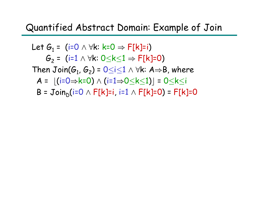### Quantified Abstract Domain: Example of Join

Let 
$$
G_1 = (i=0 \land \forall k: k=0 \Rightarrow F[k]=i)
$$
  
\n $G_2 = (i=1 \land \forall k: 0 \le k \le 1 \Rightarrow F[k]=0)$   
\nThen  $Join(G_1, G_2) = 0 \le i \le 1 \land \forall k: A \Rightarrow B$ , where  
\n $A = [(i=0 \Rightarrow k=0) \land (i=1 \Rightarrow 0 \le k \le 1)] = 0 \le k \le i$   
\n $B = Join_D(i=0 \land F[k]=i, i=1 \land F[k]=0) = F[k]=0$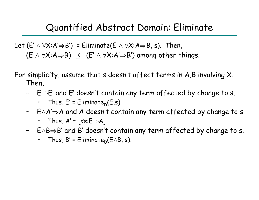#### Quantified Abstract Domain: Eliminate

Let (E'  $\land$   $\forall$ X:A' $\Rightarrow$ B') = Eliminate(E  $\land$   $\forall$ X:A $\Rightarrow$ B, s). Then,  $(\mathsf{E} \wedge \forall \mathsf{X} \mathord{:} \mathsf{A} \mathop{\Rightarrow} \mathsf{B}) \; \preceq \; \; (\mathsf{E}' \wedge \forall \mathsf{X} \mathord{:} \mathsf{A}' \mathop{\Rightarrow} \mathsf{B}') \; \text{among other things}.$ 

For simplicity, assume that s doesn't affect terms in A,B involving X. Then,

- E <sup>⇒</sup>E' and E' doesn't contain any term affected by change to s.
	- $\,\cdot\quad$  Thus, E' = Eliminat $e^{}_{\rm D}$ (E,s).
- E ∧A' <sup>⇒</sup>A and A doesn't contain any term affected by change to s.
	- $\bullet$  Thus, A' =  $\lfloor \forall s\mathpunct{:}\mathsf{E}{\Rightarrow}\mathsf{A} \rfloor.$
- E ∧ B <sup>⇒</sup>B' and B' doesn't contain any term affected by change to s.
	- $\cdot$  Thus, B' = Eliminate $_{\mathsf{D}}(\mathsf{E} \wedge \mathsf{B},\, \mathsf{s}).$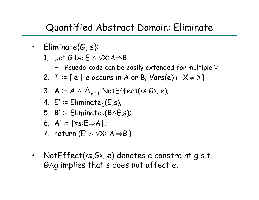### Quantified Abstract Domain: Eliminate

- Eliminate(G, s):
	- 1. Let G be  $\mathsf E \wedge \forall \mathsf{X} \mathpunct{:} \mathsf{A}{\Rightarrow} \mathsf{B}$ 
		- –Psuedo-code can be easily extended for multiple ∀
	- 2. T := {  $e \mid e$  occurs in A or B; Vars(e)  $\cap$  X  $\neq \emptyset$  }
	- 3.  $A \coloneqq A \land \bigwedge_{e \in \mathsf{T}} \mathsf{NotEffect}(\lessdot \mathsf{s}_,\!mathsf{G}\!\!>,e);$
	- 4. E' := Eliminate<sub>D</sub>(E,s);
	- 5.B' := Eliminate<sub>D</sub>(B∧E,s);
	- $6.$   $A' \coloneqq \lfloor \forall s \mathpunct{:} \mathsf{E} \Rightarrow A \rfloor$  ;
	- 7. return (E' <sup>∧</sup> ∀X: A' <sup>⇒</sup>B')
- NotEffect(<s,G>, e) denotes a constraint g s.t. G $\wedge$ g implies that s does not affect e.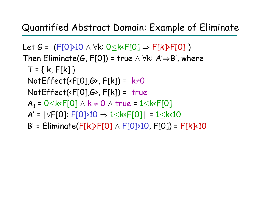### Quantified Abstract Domain: Example of Eliminate

Let G = (F[0]>10 ∧ ∀k: 0≤k<F[0] ⇒ F[k]>F[0] ) Then  $\mathsf{Eliminate}(G,\mathsf{F}[0])$  = true  $\wedge~\forall \mathsf{k}\mathpunct{:}~\mathsf{A}'{\Rightarrow}\mathsf{B}'$  , where  $T = { k, F[k] }$ NotEffect(<F[0],G>, F[k]) = k ≠ 0  $NotEffect( \langle F[0], G \rangle, F[k]) = true$  $A_1 = 0 \leq k \leq F[0] \wedge k \neq 0 \wedge \text{true} = 1 \leq k \leq F[0]$ A' <sup>=</sup> b ∀F[0]: F[0]>10 ⇒ 1 ·k<F[0] c <sup>=</sup> 1 ·k<10 B' = Eliminate(F[k]>F[0] ∧ F[0]>10, F[0]) = F[k]<10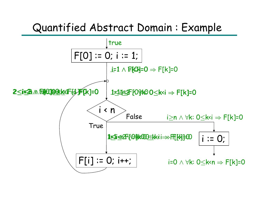## Quantified Abstract Domain : Example

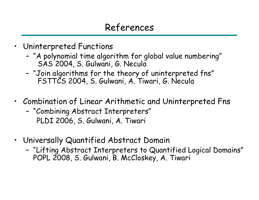- Uninterpreted Functions
	- – "A polynomial time algorithm for global value numbering" SAS 2004, S. Gulwani, G. Necula
	- "Join algorithms for the theory of uninterpreted fns" FSTTCS 2004, S. Gulwani, A. Tiwari, G. Necula
- Combination of Linear Arithmetic and Uninterpreted Fns
	- "Combining Abstract Interpreters" PLDI 2006, S. Gulwani, A. Tiwari
- Universally Quantified Abstract Domain
	- "Lifting Abstract Interpreters to Quantified Logical Domains" POPL 2008, S. Gulwani, B. McCloskey, A. Tiwari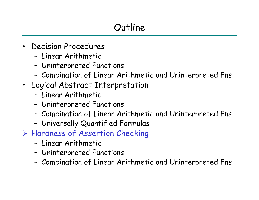- • Decision Procedures
	- Linear Arithmetic
	- –Uninterpreted Functions
	- –Combination of Linear Arithmetic and Uninterpreted Fns
- Logical Abstract Interpretation
	- Linear Arithmetic
	- –Uninterpreted Functions
	- –Combination of Linear Arithmetic and Uninterpreted Fns
	- –Universally Quantified Formulas
- ¾ Hardness of Assertion Checking
	- Linear Arithmetic
	- –Uninterpreted Functions
	- –Combination of Linear Arithmetic and Uninterpreted Fns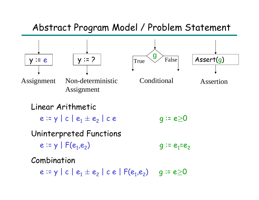#### Abstract Program Model / Problem Statement

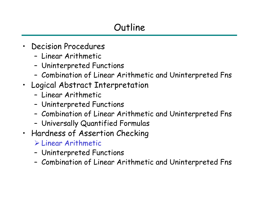- • Decision Procedures
	- Linear Arithmetic
	- –Uninterpreted Functions
	- –Combination of Linear Arithmetic and Uninterpreted Fns
- Logical Abstract Interpretation
	- Linear Arithmetic
	- –Uninterpreted Functions
	- –Combination of Linear Arithmetic and Uninterpreted Fns
	- –Universally Quantified Formulas
- Hardness of Assertion Checking
	- ¾ Linear Arithmetic
	- –Uninterpreted Functions
	- –Combination of Linear Arithmetic and Uninterpreted Fns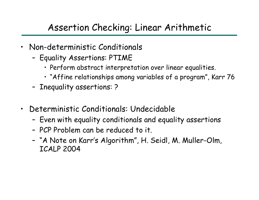### Assertion Checking: Linear Arithmetic

- Non-deterministic Conditionals
	- Equality Assertions: PTIME
		- Perform abstract interpretation over linear equalities.
		- "Affine relationships among variables of a program", Karr 76
	- Inequality assertions: ?
- •Deterministic Conditionals: U ndecidable
	- Even with equality conditionals and equality assertions
	- PCP Problem can be reduced to it.
	- – "A Note on Karr's Algorithm", H. Seidl, M. Muller-Olm, ICALP 2004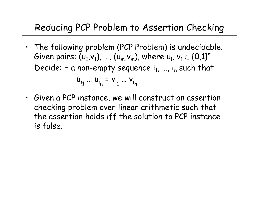## Reducing PCP Problem to Assertion Checking

• The following problem (PCP Problem) is undecidable. Given pairs: (u $_1$ ,v $_1$ ), …, (u $_{\sf m}$ ,v $_{\sf m}$ ), where u $_{\sf i}$ , v $_{\sf i} \in$  {0,1}\* Decide:  $\exists$  a non-empty sequence  $\mathsf{i}_1$ , ...,  $\mathsf{i}_\mathsf{n}$  such that

$$
u_{i_1} ... u_{i_n} = v_{i_1} ... v_{i_n}
$$

• Given a PCP instance, we will construct an assertion checking problem over linear arithmetic such that the assertion holds iff the solution to PCP instance is false.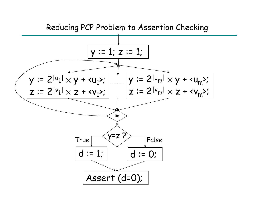#### Reducing PCP Problem to Assertion Checking

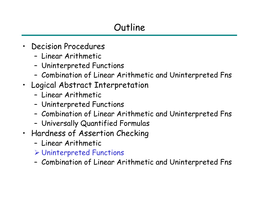- • Decision Procedures
	- Linear Arithmetic
	- –Uninterpreted Functions
	- –Combination of Linear Arithmetic and Uninterpreted Fns
- Logical Abstract Interpretation
	- Linear Arithmetic
	- –Uninterpreted Functions
	- –Combination of Linear Arithmetic and Uninterpreted Fns
	- –Universally Quantified Formulas
- Hardness of Assertion Checking
	- Linear Arithmetic
	- ¾ Uninterpreted Functions
	- –Combination of Linear Arithmetic and Uninterpreted Fns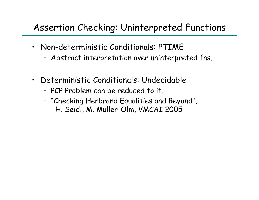### Assertion Checking: Uninterpreted Functions

- Non-deterministic Conditionals: PTIME
	- Abstract interpretation over uninterpreted fns.
- $\bullet$ Deterministic Conditionals: U ndecidable
	- PCP Problem can be reduced to it.
	- "Checking Herbrand Equalities and Beyond", H. Seidl, M. Muller-Olm, VMCAI 2005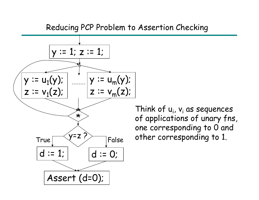#### Reducing PCP Problem to Assertion Checking



Think of  ${\sf u}_{\sf i}$ ,  ${\sf v}_{\sf i}$  as sequences of applications of unary fns, one corresponding to 0 and other corresponding to 1.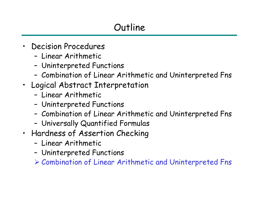- • Decision Procedures
	- Linear Arithmetic
	- –Uninterpreted Functions
	- –Combination of Linear Arithmetic and Uninterpreted Fns
- Logical Abstract Interpretation
	- Linear Arithmetic
	- –Uninterpreted Functions
	- –Combination of Linear Arithmetic and Uninterpreted Fns
	- –Universally Quantified Formulas
- Hardness of Assertion Checking
	- Linear Arithmetic
	- –Uninterpreted Functions

¾ Combination of Linear Arithmetic and Uninterpreted Fns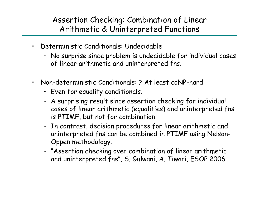#### Assertion Checking: Combination of Linear Arithmetic & Uninterpreted Functions

- • Deterministic Conditionals: Und ecid able
	- No surprise since problem is undecidable for individual cases of linear arithmetic and uninterpreted fns.
- • Non-deterministic Conditionals: ? At least coNP-hard
	- Even for equality conditionals.
	- A surprising result since assertion checking for individual cases of linear arithmetic (equalities) and uninterpreted fns is PTIME, but not for combination.
	- In contrast, decision procedures for linear arithmetic and uninterpreted fns can be combined in PTIME using Nelson-Oppen methodology.
	- "Assertion checking over combination of linear arithmetic and uninterpreted fns", S. Gulwani, A. Tiwari, ESOP 2006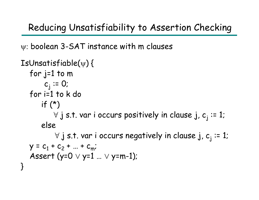Reducing Unsatisfiability to Assertion Checking

ψ: boolean 3-SAT instance with m clauses

```
IsUnsatisfiable(
ψ) {
  for j=1 to m 
        c_j \coloneqq 0;
  for i=1 to k do
       if (*)\forall j s.t. var i occurs positively in clause j, c_{\rm j} := 1;
       else
            \forall j s.t. var i occurs negatively in clause j, c_{\rm j} := 1;
   y = c_1 + c_2 + ... + c_m;Assert (y=0 
∨ y=1 …
∨ y=m-1);
}
```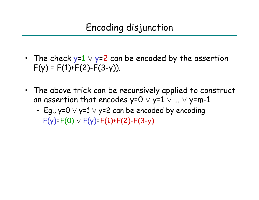- The check y= $1\vee$  y=2 can be encoded by the assertion  $F(y) = F(1) + F(2) - F(3-y)$ ).
- The above trick can be recursively applied to construct an assertion that encodes y=0  $\lor$  y=1  $\lor$  ...  $\lor$  y=m-1
	- Eg., y=0  $\lor$  y=1  $\lor$  y=2 can be encoded by encoding F(y) =F(0) ∨ F(y) =F(1)+F(2)-F(3-y)